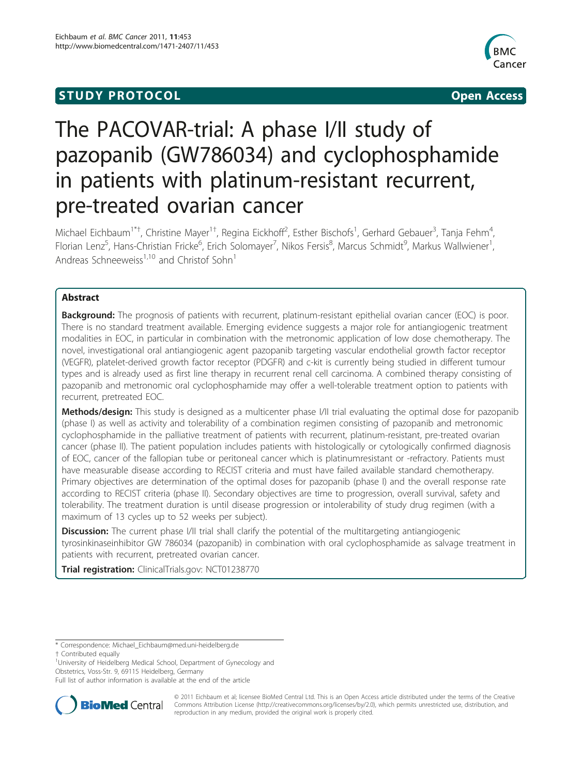# **STUDY PROTOCOL CONSUMING ACCESS**



# The PACOVAR-trial: A phase I/II study of pazopanib (GW786034) and cyclophosphamide in patients with platinum-resistant recurrent, pre-treated ovarian cancer

Michael Eichbaum<sup>1\*†</sup>, Christine Mayer<sup>1†</sup>, Regina Eickhoff<sup>2</sup>, Esther Bischofs<sup>1</sup>, Gerhard Gebauer<sup>3</sup>, Tanja Fehm<sup>4</sup> , Florian Lenz<sup>5</sup>, Hans-Christian Fricke<sup>6</sup>, Erich Solomayer<sup>7</sup>, Nikos Fersis<sup>8</sup>, Marcus Schmidt<sup>9</sup>, Markus Wallwiener<sup>1</sup> , Andreas Schneeweiss<sup>1,10</sup> and Christof Sohn<sup>1</sup>

# Abstract

Background: The prognosis of patients with recurrent, platinum-resistant epithelial ovarian cancer (EOC) is poor. There is no standard treatment available. Emerging evidence suggests a major role for antiangiogenic treatment modalities in EOC, in particular in combination with the metronomic application of low dose chemotherapy. The novel, investigational oral antiangiogenic agent pazopanib targeting vascular endothelial growth factor receptor (VEGFR), platelet-derived growth factor receptor (PDGFR) and c-kit is currently being studied in different tumour types and is already used as first line therapy in recurrent renal cell carcinoma. A combined therapy consisting of pazopanib and metronomic oral cyclophosphamide may offer a well-tolerable treatment option to patients with recurrent, pretreated EOC.

Methods/design: This study is designed as a multicenter phase I/II trial evaluating the optimal dose for pazopanib (phase I) as well as activity and tolerability of a combination regimen consisting of pazopanib and metronomic cyclophosphamide in the palliative treatment of patients with recurrent, platinum-resistant, pre-treated ovarian cancer (phase II). The patient population includes patients with histologically or cytologically confirmed diagnosis of EOC, cancer of the fallopian tube or peritoneal cancer which is platinumresistant or -refractory. Patients must have measurable disease according to RECIST criteria and must have failed available standard chemotherapy. Primary objectives are determination of the optimal doses for pazopanib (phase I) and the overall response rate according to RECIST criteria (phase II). Secondary objectives are time to progression, overall survival, safety and tolerability. The treatment duration is until disease progression or intolerability of study drug regimen (with a maximum of 13 cycles up to 52 weeks per subject).

**Discussion:** The current phase I/II trial shall clarify the potential of the multitargeting antiangiogenic tyrosinkinaseinhibitor GW 786034 (pazopanib) in combination with oral cyclophosphamide as salvage treatment in patients with recurrent, pretreated ovarian cancer.

Trial registration: ClinicalTrials.gov: [NCT01238770](http://www.clinicaltrials.gov/ct2/show/NCT01238770)

\* Correspondence: [Michael\\_Eichbaum@med.uni-heidelberg.de](mailto:Michael_Eichbaum@med.uni-heidelberg.de)

† Contributed equally <sup>1</sup>

<sup>1</sup>University of Heidelberg Medical School, Department of Gynecology and Obstetrics, Voss-Str. 9, 69115 Heidelberg, Germany

Full list of author information is available at the end of the article



© 2011 Eichbaum et al; licensee BioMed Central Ltd. This is an Open Access article distributed under the terms of the Creative Commons Attribution License [\(http://creativecommons.org/licenses/by/2.0](http://creativecommons.org/licenses/by/2.0)), which permits unrestricted use, distribution, and reproduction in any medium, provided the original work is properly cited.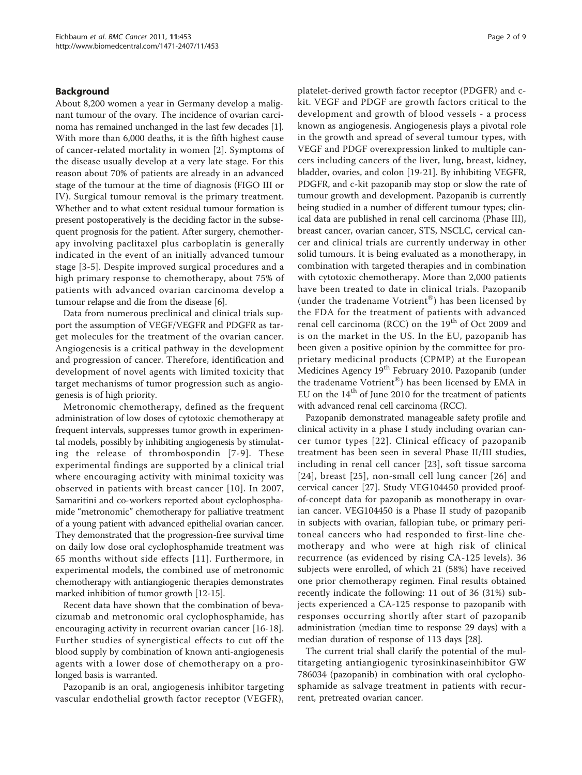#### Background

About 8,200 women a year in Germany develop a malignant tumour of the ovary. The incidence of ovarian carcinoma has remained unchanged in the last few decades [[1](#page-8-0)]. With more than 6,000 deaths, it is the fifth highest cause of cancer-related mortality in women [\[2](#page-8-0)]. Symptoms of the disease usually develop at a very late stage. For this reason about 70% of patients are already in an advanced stage of the tumour at the time of diagnosis (FIGO III or IV). Surgical tumour removal is the primary treatment. Whether and to what extent residual tumour formation is present postoperatively is the deciding factor in the subsequent prognosis for the patient. After surgery, chemotherapy involving paclitaxel plus carboplatin is generally indicated in the event of an initially advanced tumour stage [[3-5\]](#page-8-0). Despite improved surgical procedures and a high primary response to chemotherapy, about 75% of patients with advanced ovarian carcinoma develop a tumour relapse and die from the disease [[6](#page-8-0)].

Data from numerous preclinical and clinical trials support the assumption of VEGF/VEGFR and PDGFR as target molecules for the treatment of the ovarian cancer. Angiogenesis is a critical pathway in the development and progression of cancer. Therefore, identification and development of novel agents with limited toxicity that target mechanisms of tumor progression such as angiogenesis is of high priority.

Metronomic chemotherapy, defined as the frequent administration of low doses of cytotoxic chemotherapy at frequent intervals, suppresses tumor growth in experimental models, possibly by inhibiting angiogenesis by stimulating the release of thrombospondin [[7](#page-8-0)-[9](#page-8-0)]. These experimental findings are supported by a clinical trial where encouraging activity with minimal toxicity was observed in patients with breast cancer [\[10\]](#page-8-0). In 2007, Samaritini and co-workers reported about cyclophosphamide "metronomic" chemotherapy for palliative treatment of a young patient with advanced epithelial ovarian cancer. They demonstrated that the progression-free survival time on daily low dose oral cyclophosphamide treatment was 65 months without side effects [[11\]](#page-8-0). Furthermore, in experimental models, the combined use of metronomic chemotherapy with antiangiogenic therapies demonstrates marked inhibition of tumor growth [[12](#page-8-0)-[15](#page-8-0)].

Recent data have shown that the combination of bevacizumab and metronomic oral cyclophosphamide, has encouraging activity in recurrent ovarian cancer [[16-18](#page-8-0)]. Further studies of synergistical effects to cut off the blood supply by combination of known anti-angiogenesis agents with a lower dose of chemotherapy on a prolonged basis is warranted.

Pazopanib is an oral, angiogenesis inhibitor targeting vascular endothelial growth factor receptor (VEGFR), platelet-derived growth factor receptor (PDGFR) and ckit. VEGF and PDGF are growth factors critical to the development and growth of blood vessels - a process known as angiogenesis. Angiogenesis plays a pivotal role in the growth and spread of several tumour types, with VEGF and PDGF overexpression linked to multiple cancers including cancers of the liver, lung, breast, kidney, bladder, ovaries, and colon [[19](#page-8-0)-[21\]](#page-8-0). By inhibiting VEGFR, PDGFR, and c-kit pazopanib may stop or slow the rate of tumour growth and development. Pazopanib is currently being studied in a number of different tumour types; clinical data are published in renal cell carcinoma (Phase III), breast cancer, ovarian cancer, STS, NSCLC, cervical cancer and clinical trials are currently underway in other solid tumours. It is being evaluated as a monotherapy, in combination with targeted therapies and in combination with cytotoxic chemotherapy. More than 2,000 patients have been treated to date in clinical trials. Pazopanib (under the tradename Votrient®) has been licensed by the FDA for the treatment of patients with advanced renal cell carcinoma (RCC) on the 19<sup>th</sup> of Oct 2009 and is on the market in the US. In the EU, pazopanib has been given a positive opinion by the committee for proprietary medicinal products (CPMP) at the European Medicines Agency 19<sup>th</sup> February 2010. Pazopanib (under the tradename Votrient®) has been licensed by EMA in EU on the  $14<sup>th</sup>$  of June 2010 for the treatment of patients with advanced renal cell carcinoma (RCC).

Pazopanib demonstrated manageable safety profile and clinical activity in a phase I study including ovarian cancer tumor types [[22\]](#page-8-0). Clinical efficacy of pazopanib treatment has been seen in several Phase II/III studies, including in renal cell cancer [\[23\]](#page-8-0), soft tissue sarcoma [[24\]](#page-8-0), breast [\[25\]](#page-8-0), non-small cell lung cancer [[26\]](#page-8-0) and cervical cancer [[27\]](#page-8-0). Study VEG104450 provided proofof-concept data for pazopanib as monotherapy in ovarian cancer. VEG104450 is a Phase II study of pazopanib in subjects with ovarian, fallopian tube, or primary peritoneal cancers who had responded to first-line chemotherapy and who were at high risk of clinical recurrence (as evidenced by rising CA-125 levels). 36 subjects were enrolled, of which 21 (58%) have received one prior chemotherapy regimen. Final results obtained recently indicate the following: 11 out of 36 (31%) subjects experienced a CA-125 response to pazopanib with responses occurring shortly after start of pazopanib administration (median time to response 29 days) with a median duration of response of 113 days [\[28\]](#page-8-0).

The current trial shall clarify the potential of the multitargeting antiangiogenic tyrosinkinaseinhibitor GW 786034 (pazopanib) in combination with oral cyclophosphamide as salvage treatment in patients with recurrent, pretreated ovarian cancer.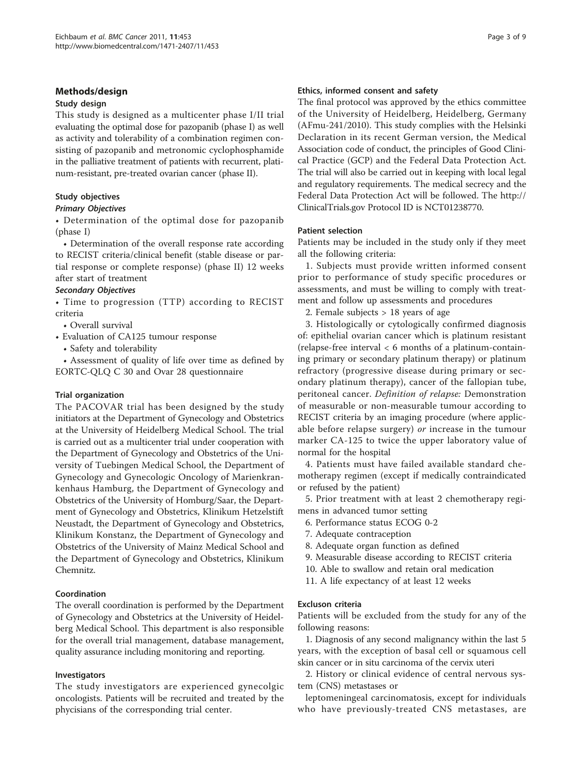# Methods/design

#### Study design

This study is designed as a multicenter phase I/II trial evaluating the optimal dose for pazopanib (phase I) as well as activity and tolerability of a combination regimen consisting of pazopanib and metronomic cyclophosphamide in the palliative treatment of patients with recurrent, platinum-resistant, pre-treated ovarian cancer (phase II).

# Study objectives

## Primary Objectives

• Determination of the optimal dose for pazopanib (phase I)

• Determination of the overall response rate according to RECIST criteria/clinical benefit (stable disease or partial response or complete response) (phase II) 12 weeks after start of treatment

## Secondary Objectives

• Time to progression (TTP) according to RECIST criteria

- Overall survival
- Evaluation of CA125 tumour response
	- Safety and tolerability

• Assessment of quality of life over time as defined by EORTC-QLQ C 30 and Ovar 28 questionnaire

## Trial organization

The PACOVAR trial has been designed by the study initiators at the Department of Gynecology and Obstetrics at the University of Heidelberg Medical School. The trial is carried out as a multicenter trial under cooperation with the Department of Gynecology and Obstetrics of the University of Tuebingen Medical School, the Department of Gynecology and Gynecologic Oncology of Marienkrankenhaus Hamburg, the Department of Gynecology and Obstetrics of the University of Homburg/Saar, the Department of Gynecology and Obstetrics, Klinikum Hetzelstift Neustadt, the Department of Gynecology and Obstetrics, Klinikum Konstanz, the Department of Gynecology and Obstetrics of the University of Mainz Medical School and the Department of Gynecology and Obstetrics, Klinikum Chemnitz.

## Coordination

The overall coordination is performed by the Department of Gynecology and Obstetrics at the University of Heidelberg Medical School. This department is also responsible for the overall trial management, database management, quality assurance including monitoring and reporting.

## Investigators

The study investigators are experienced gynecolgic oncologists. Patients will be recruited and treated by the phycisians of the corresponding trial center.

## Ethics, informed consent and safety

The final protocol was approved by the ethics committee of the University of Heidelberg, Heidelberg, Germany (AFmu-241/2010). This study complies with the Helsinki Declaration in its recent German version, the Medical Association code of conduct, the principles of Good Clinical Practice (GCP) and the Federal Data Protection Act. The trial will also be carried out in keeping with local legal and regulatory requirements. The medical secrecy and the Federal Data Protection Act will be followed. The [http://](http://ClinicalTrials.gov) [ClinicalTrials.gov](http://ClinicalTrials.gov) Protocol ID is NCT01238770.

## Patient selection

Patients may be included in the study only if they meet all the following criteria:

1. Subjects must provide written informed consent prior to performance of study specific procedures or assessments, and must be willing to comply with treatment and follow up assessments and procedures

2. Female subjects > 18 years of age

3. Histologically or cytologically confirmed diagnosis of: epithelial ovarian cancer which is platinum resistant (relapse-free interval < 6 months of a platinum-containing primary or secondary platinum therapy) or platinum refractory (progressive disease during primary or secondary platinum therapy), cancer of the fallopian tube, peritoneal cancer. Definition of relapse: Demonstration of measurable or non-measurable tumour according to RECIST criteria by an imaging procedure (where applicable before relapse surgery) or increase in the tumour marker CA-125 to twice the upper laboratory value of normal for the hospital

4. Patients must have failed available standard chemotherapy regimen (except if medically contraindicated or refused by the patient)

5. Prior treatment with at least 2 chemotherapy regimens in advanced tumor setting

- 6. Performance status ECOG 0-2
- 7. Adequate contraception
- 8. Adequate organ function as defined
- 9. Measurable disease according to RECIST criteria
- 10. Able to swallow and retain oral medication
- 11. A life expectancy of at least 12 weeks

## Excluson criteria

Patients will be excluded from the study for any of the following reasons:

1. Diagnosis of any second malignancy within the last 5 years, with the exception of basal cell or squamous cell skin cancer or in situ carcinoma of the cervix uteri

2. History or clinical evidence of central nervous system (CNS) metastases or

leptomeningeal carcinomatosis, except for individuals who have previously-treated CNS metastases, are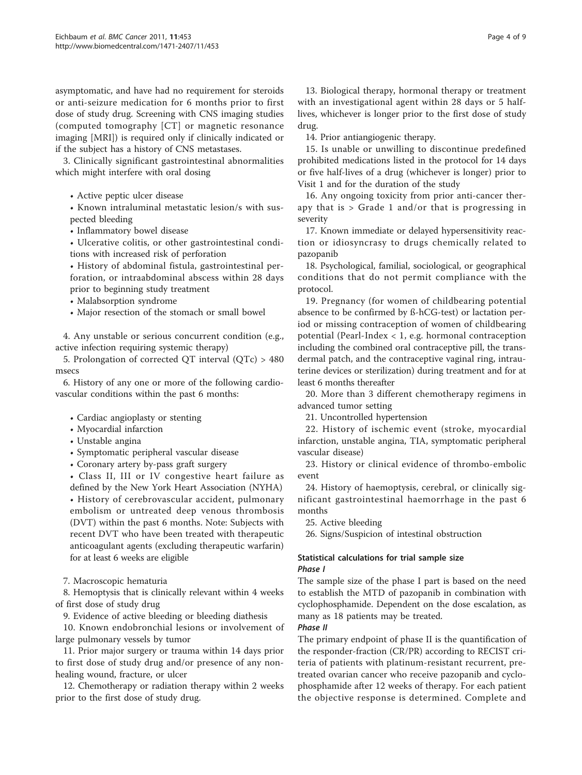asymptomatic, and have had no requirement for steroids or anti-seizure medication for 6 months prior to first dose of study drug. Screening with CNS imaging studies (computed tomography [CT] or magnetic resonance imaging [MRI]) is required only if clinically indicated or if the subject has a history of CNS metastases.

3. Clinically significant gastrointestinal abnormalities which might interfere with oral dosing

- Active peptic ulcer disease
- Known intraluminal metastatic lesion/s with suspected bleeding
- Inflammatory bowel disease

• Ulcerative colitis, or other gastrointestinal conditions with increased risk of perforation

• History of abdominal fistula, gastrointestinal perforation, or intraabdominal abscess within 28 days prior to beginning study treatment

- Malabsorption syndrome
- Major resection of the stomach or small bowel

4. Any unstable or serious concurrent condition (e.g., active infection requiring systemic therapy)

5. Prolongation of corrected QT interval (QTc) > 480 msecs

6. History of any one or more of the following cardiovascular conditions within the past 6 months:

- Cardiac angioplasty or stenting
- Myocardial infarction
- Unstable angina
- Symptomatic peripheral vascular disease
- Coronary artery by-pass graft surgery
- Class II, III or IV congestive heart failure as defined by the New York Heart Association (NYHA) • History of cerebrovascular accident, pulmonary embolism or untreated deep venous thrombosis (DVT) within the past 6 months. Note: Subjects with recent DVT who have been treated with therapeutic anticoagulant agents (excluding therapeutic warfarin) for at least 6 weeks are eligible
- 7. Macroscopic hematuria

8. Hemoptysis that is clinically relevant within 4 weeks of first dose of study drug

9. Evidence of active bleeding or bleeding diathesis

10. Known endobronchial lesions or involvement of large pulmonary vessels by tumor

11. Prior major surgery or trauma within 14 days prior to first dose of study drug and/or presence of any nonhealing wound, fracture, or ulcer

12. Chemotherapy or radiation therapy within 2 weeks prior to the first dose of study drug.

13. Biological therapy, hormonal therapy or treatment with an investigational agent within 28 days or 5 halflives, whichever is longer prior to the first dose of study drug.

14. Prior antiangiogenic therapy.

15. Is unable or unwilling to discontinue predefined prohibited medications listed in the protocol for 14 days or five half-lives of a drug (whichever is longer) prior to Visit 1 and for the duration of the study

16. Any ongoing toxicity from prior anti-cancer therapy that is > Grade 1 and/or that is progressing in severity

17. Known immediate or delayed hypersensitivity reaction or idiosyncrasy to drugs chemically related to pazopanib

18. Psychological, familial, sociological, or geographical conditions that do not permit compliance with the protocol.

19. Pregnancy (for women of childbearing potential absence to be confirmed by ß-hCG-test) or lactation period or missing contraception of women of childbearing potential (Pearl-Index < 1, e.g. hormonal contraception including the combined oral contraceptive pill, the transdermal patch, and the contraceptive vaginal ring, intrauterine devices or sterilization) during treatment and for at least 6 months thereafter

20. More than 3 different chemotherapy regimens in advanced tumor setting

21. Uncontrolled hypertension

22. History of ischemic event (stroke, myocardial infarction, unstable angina, TIA, symptomatic peripheral vascular disease)

23. History or clinical evidence of thrombo-embolic event

24. History of haemoptysis, cerebral, or clinically significant gastrointestinal haemorrhage in the past 6 months

25. Active bleeding

26. Signs/Suspicion of intestinal obstruction

# Statistical calculations for trial sample size Phase I

The sample size of the phase I part is based on the need to establish the MTD of pazopanib in combination with cyclophosphamide. Dependent on the dose escalation, as many as 18 patients may be treated.

Phase II

The primary endpoint of phase II is the quantification of the responder-fraction (CR/PR) according to RECIST criteria of patients with platinum-resistant recurrent, pretreated ovarian cancer who receive pazopanib and cyclophosphamide after 12 weeks of therapy. For each patient the objective response is determined. Complete and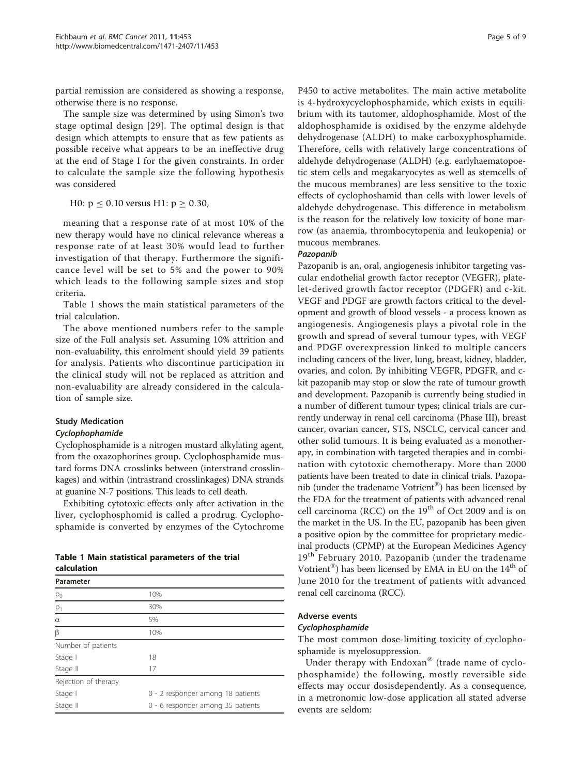partial remission are considered as showing a response, otherwise there is no response.

The sample size was determined by using Simon's two stage optimal design [[29](#page-8-0)]. The optimal design is that design which attempts to ensure that as few patients as possible receive what appears to be an ineffective drug at the end of Stage I for the given constraints. In order to calculate the sample size the following hypothesis was considered

H0:  $p \le 0.10$  versus H1:  $p \ge 0.30$ ,

meaning that a response rate of at most 10% of the new therapy would have no clinical relevance whereas a response rate of at least 30% would lead to further investigation of that therapy. Furthermore the significance level will be set to 5% and the power to 90% which leads to the following sample sizes and stop criteria.

Table 1 shows the main statistical parameters of the trial calculation.

The above mentioned numbers refer to the sample size of the Full analysis set. Assuming 10% attrition and non-evaluability, this enrolment should yield 39 patients for analysis. Patients who discontinue participation in the clinical study will not be replaced as attrition and non-evaluability are already considered in the calculation of sample size.

# Study Medication

# Cyclophophamide

Cyclophosphamide is a nitrogen mustard alkylating agent, from the oxazophorines group. Cyclophosphamide mustard forms DNA crosslinks between (interstrand crosslinkages) and within (intrastrand crosslinkages) DNA strands at guanine N-7 positions. This leads to cell death.

Exhibiting cytotoxic effects only after activation in the liver, cyclophosphomid is called a prodrug. Cyclophosphamide is converted by enzymes of the Cytochrome

## Table 1 Main statistical parameters of the trial calculation

| 10%                               |
|-----------------------------------|
| 30%                               |
| 5%                                |
| 10%                               |
|                                   |
| 18                                |
| 17                                |
|                                   |
| 0 - 2 responder among 18 patients |
| 0 - 6 responder among 35 patients |
|                                   |

P450 to active metabolites. The main active metabolite is 4-hydroxycyclophosphamide, which exists in equilibrium with its tautomer, aldophosphamide. Most of the aldophosphamide is oxidised by the enzyme aldehyde dehydrogenase (ALDH) to make carboxyphosphamide. Therefore, cells with relatively large concentrations of aldehyde dehydrogenase (ALDH) (e.g. earlyhaematopoetic stem cells and megakaryocytes as well as stemcells of the mucous membranes) are less sensitive to the toxic effects of cyclophoshamid than cells with lower levels of aldehyde dehydrogenase. This difference in metabolism is the reason for the relatively low toxicity of bone marrow (as anaemia, thrombocytopenia and leukopenia) or mucous membranes.

## Pazopanib

Pazopanib is an, oral, angiogenesis inhibitor targeting vascular endothelial growth factor receptor (VEGFR), platelet-derived growth factor receptor (PDGFR) and c-kit. VEGF and PDGF are growth factors critical to the development and growth of blood vessels - a process known as angiogenesis. Angiogenesis plays a pivotal role in the growth and spread of several tumour types, with VEGF and PDGF overexpression linked to multiple cancers including cancers of the liver, lung, breast, kidney, bladder, ovaries, and colon. By inhibiting VEGFR, PDGFR, and ckit pazopanib may stop or slow the rate of tumour growth and development. Pazopanib is currently being studied in a number of different tumour types; clinical trials are currently underway in renal cell carcinoma (Phase III), breast cancer, ovarian cancer, STS, NSCLC, cervical cancer and other solid tumours. It is being evaluated as a monotherapy, in combination with targeted therapies and in combination with cytotoxic chemotherapy. More than 2000 patients have been treated to date in clinical trials. Pazopanib (under the tradename Votrient®) has been licensed by the FDA for the treatment of patients with advanced renal cell carcinoma (RCC) on the 19<sup>th</sup> of Oct 2009 and is on the market in the US. In the EU, pazopanib has been given a positive opion by the committee for proprietary medicinal products (CPMP) at the European Medicines Agency 19<sup>th</sup> February 2010. Pazopanib (under the tradename Votrient<sup>®</sup>) has been licensed by EMA in EU on the  $14<sup>th</sup>$  of June 2010 for the treatment of patients with advanced renal cell carcinoma (RCC).

## Adverse events

## Cyclophosphamide

The most common dose-limiting toxicity of cyclophosphamide is myelosuppression.

Under therapy with Endoxan® (trade name of cyclophosphamide) the following, mostly reversible side effects may occur dosisdependently. As a consequence, in a metronomic low-dose application all stated adverse events are seldom: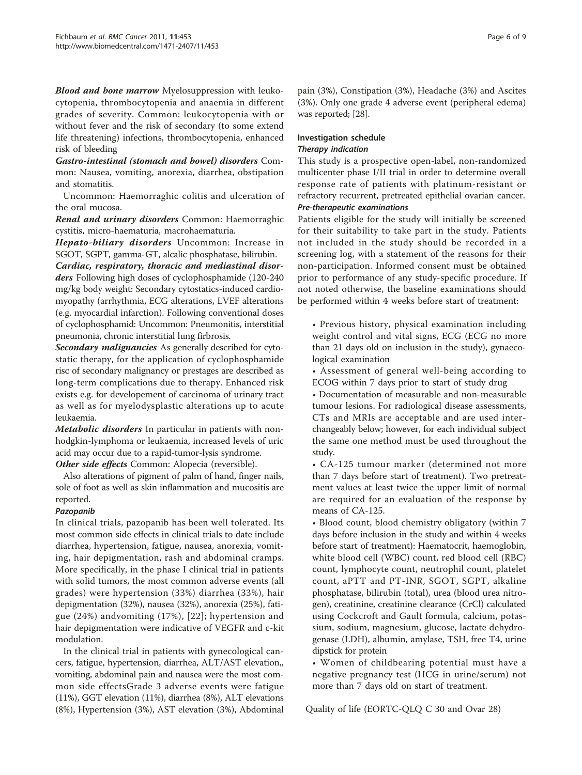Blood and bone marrow Myelosuppression with leukocytopenia, thrombocytopenia and anaemia in different grades of severity. Common: leukocytopenia with or without fever and the risk of secondary (to some extend life threatening) infections, thrombocytopenia, enhanced risk of bleeding

Gastro-intestinal (stomach and bowel) disorders Common: Nausea, vomiting, anorexia, diarrhea, obstipation and stomatitis.

Uncommon: Haemorraghic colitis and ulceration of the oral mucosa.

Renal and urinary disorders Common: Haemorraghic cystitis, micro-haematuria, macrohaematuria.

Hepato-biliary disorders Uncommon: Increase in SGOT, SGPT, gamma-GT, alcalic phosphatase, bilirubin.

Cardiac, respiratory, thoracic and mediastinal disorders Following high doses of cyclophosphamide (120-240) mg/kg body weight: Secondary cytostatics-induced cardiomyopathy (arrhythmia, ECG alterations, LVEF alterations (e.g. myocardial infarction). Following conventional doses of cyclophosphamid: Uncommon: Pneumonitis, interstitial pneumonia, chronic interstitial lung firbrosis.

Secondary malignancies As generally described for cytostatic therapy, for the application of cyclophosphamide risc of secondary malignancy or prestages are described as long-term complications due to therapy. Enhanced risk exists e.g. for developement of carcinoma of urinary tract as well as for myelodysplastic alterations up to acute leukaemia.

Metabolic disorders In particular in patients with nonhodgkin-lymphoma or leukaemia, increased levels of uric acid may occur due to a rapid-tumor-lysis syndrome.

**Other side effects** Common: Alopecia (reversible).

Also alterations of pigment of palm of hand, finger nails, sole of foot as well as skin inflammation and mucositis are reported.

## Pazopanib

In clinical trials, pazopanib has been well tolerated. Its most common side effects in clinical trials to date include diarrhea, hypertension, fatigue, nausea, anorexia, vomiting, hair depigmentation, rash and abdominal cramps. More specifically, in the phase I clinical trial in patients with solid tumors, the most common adverse events (all grades) were hypertension (33%) diarrhea (33%), hair depigmentation (32%), nausea (32%), anorexia (25%), fatigue (24%) andvomiting (17%), [[22\]](#page-8-0); hypertension and hair depigmentation were indicative of VEGFR and c-kit modulation.

In the clinical trial in patients with gynecological cancers, fatigue, hypertension, diarrhea, ALT/AST elevation,, vomiting, abdominal pain and nausea were the most common side effectsGrade 3 adverse events were fatigue (11%), GGT elevation (11%), diarrhea (8%), ALT elevations (8%), Hypertension (3%), AST elevation (3%), Abdominal

pain (3%), Constipation (3%), Headache (3%) and Ascites (3%). Only one grade 4 adverse event (peripheral edema) was reported; [[28](#page-8-0)].

# Investigation schedule

## Therapy indication

This study is a prospective open-label, non-randomized multicenter phase I/II trial in order to determine overall response rate of patients with platinum-resistant or refractory recurrent, pretreated epithelial ovarian cancer. Pre-therapeutic examinations

Patients eligible for the study will initially be screened for their suitability to take part in the study. Patients not included in the study should be recorded in a screening log, with a statement of the reasons for their non-participation. Informed consent must be obtained prior to performance of any study-specific procedure. If not noted otherwise, the baseline examinations should be performed within 4 weeks before start of treatment:

• Previous history, physical examination including weight control and vital signs, ECG (ECG no more than 21 days old on inclusion in the study), gynaecological examination

• Assessment of general well-being according to ECOG within 7 days prior to start of study drug

• Documentation of measurable and non-measurable tumour lesions. For radiological disease assessments, CTs and MRIs are acceptable and are used interchangeably below; however, for each individual subject the same one method must be used throughout the study.

• CA-125 tumour marker (determined not more than 7 days before start of treatment). Two pretreatment values at least twice the upper limit of normal are required for an evaluation of the response by means of CA-125.

• Blood count, blood chemistry obligatory (within 7 days before inclusion in the study and within 4 weeks before start of treatment): Haematocrit, haemoglobin, white blood cell (WBC) count, red blood cell (RBC) count, lymphocyte count, neutrophil count, platelet count, aPTT and PT-INR, SGOT, SGPT, alkaline phosphatase, bilirubin (total), urea (blood urea nitrogen), creatinine, creatinine clearance (CrCl) calculated using Cockcroft and Gault formula, calcium, potassium, sodium, magnesium, glucose, lactate dehydrogenase (LDH), albumin, amylase, TSH, free T4, urine dipstick for protein

• Women of childbearing potential must have a negative pregnancy test (HCG in urine/serum) not more than 7 days old on start of treatment.

Quality of life (EORTC-QLQ C 30 and Ovar 28)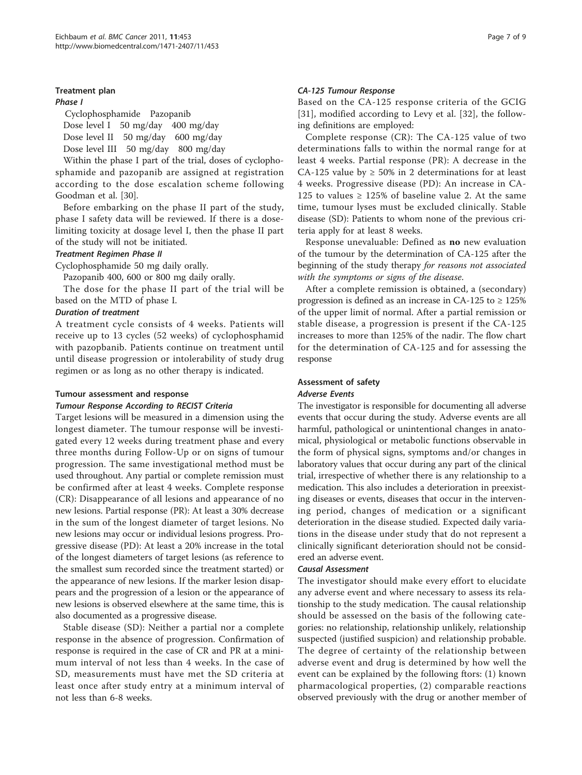#### Treatment plan

#### Phase I

Cyclophosphamide Pazopanib

Dose level I 50 mg/day 400 mg/day Dose level II 50 mg/day 600 mg/day Dose level III 50 mg/day 800 mg/day

Within the phase I part of the trial, doses of cyclophosphamide and pazopanib are assigned at registration according to the dose escalation scheme following Goodman et al. [[30](#page-8-0)].

Before embarking on the phase II part of the study, phase I safety data will be reviewed. If there is a doselimiting toxicity at dosage level I, then the phase II part of the study will not be initiated.

#### Treatment Regimen Phase II

Cyclophosphamide 50 mg daily orally.

Pazopanib 400, 600 or 800 mg daily orally.

The dose for the phase II part of the trial will be based on the MTD of phase I.

#### Duration of treatment

A treatment cycle consists of 4 weeks. Patients will receive up to 13 cycles (52 weeks) of cyclophosphamid with pazopbanib. Patients continue on treatment until until disease progression or intolerability of study drug regimen or as long as no other therapy is indicated.

#### Tumour assessment and response

#### Tumour Response According to RECIST Criteria

Target lesions will be measured in a dimension using the longest diameter. The tumour response will be investigated every 12 weeks during treatment phase and every three months during Follow-Up or on signs of tumour progression. The same investigational method must be used throughout. Any partial or complete remission must be confirmed after at least 4 weeks. Complete response (CR): Disappearance of all lesions and appearance of no new lesions. Partial response (PR): At least a 30% decrease in the sum of the longest diameter of target lesions. No new lesions may occur or individual lesions progress. Progressive disease (PD): At least a 20% increase in the total of the longest diameters of target lesions (as reference to the smallest sum recorded since the treatment started) or the appearance of new lesions. If the marker lesion disappears and the progression of a lesion or the appearance of new lesions is observed elsewhere at the same time, this is also documented as a progressive disease.

Stable disease (SD): Neither a partial nor a complete response in the absence of progression. Confirmation of response is required in the case of CR and PR at a minimum interval of not less than 4 weeks. In the case of SD, measurements must have met the SD criteria at least once after study entry at a minimum interval of not less than 6-8 weeks.

#### CA-125 Tumour Response

Based on the CA-125 response criteria of the GCIG [[31](#page-8-0)], modified according to Levy et al. [[32\]](#page-8-0), the following definitions are employed:

Complete response (CR): The CA-125 value of two determinations falls to within the normal range for at least 4 weeks. Partial response (PR): A decrease in the CA-125 value by  $\geq$  50% in 2 determinations for at least 4 weeks. Progressive disease (PD): An increase in CA-125 to values  $\geq$  125% of baseline value 2. At the same time, tumour lyses must be excluded clinically. Stable disease (SD): Patients to whom none of the previous criteria apply for at least 8 weeks.

Response unevaluable: Defined as no new evaluation of the tumour by the determination of CA-125 after the beginning of the study therapy for reasons not associated with the symptoms or signs of the disease.

After a complete remission is obtained, a (secondary) progression is defined as an increase in CA-125 to  $\geq$  125% of the upper limit of normal. After a partial remission or stable disease, a progression is present if the CA-125 increases to more than 125% of the nadir. The flow chart for the determination of CA-125 and for assessing the response

### Assessment of safety Adverse Events

# The investigator is responsible for documenting all adverse events that occur during the study. Adverse events are all harmful, pathological or unintentional changes in anatomical, physiological or metabolic functions observable in the form of physical signs, symptoms and/or changes in laboratory values that occur during any part of the clinical trial, irrespective of whether there is any relationship to a medication. This also includes a deterioration in preexisting diseases or events, diseases that occur in the intervening period, changes of medication or a significant deterioration in the disease studied. Expected daily variations in the disease under study that do not represent a clinically significant deterioration should not be considered an adverse event.

## Causal Assessment

The investigator should make every effort to elucidate any adverse event and where necessary to assess its relationship to the study medication. The causal relationship should be assessed on the basis of the following categories: no relationship, relationship unlikely, relationship suspected (justified suspicion) and relationship probable. The degree of certainty of the relationship between adverse event and drug is determined by how well the event can be explained by the following ftors: (1) known pharmacological properties, (2) comparable reactions observed previously with the drug or another member of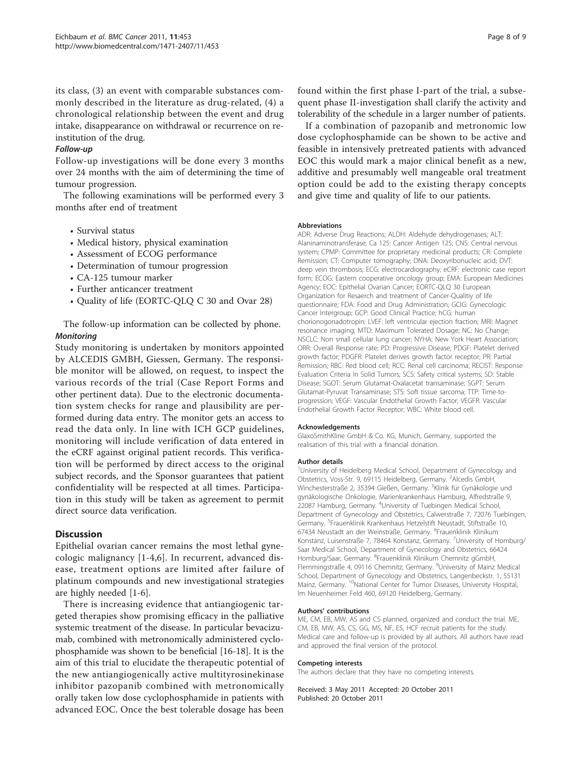its class, (3) an event with comparable substances commonly described in the literature as drug-related, (4) a chronological relationship between the event and drug intake, disappearance on withdrawal or recurrence on reinstitution of the drug.

#### Follow-up

Follow-up investigations will be done every 3 months over 24 months with the aim of determining the time of tumour progression.

The following examinations will be performed every 3 months after end of treatment

- Survival status
- Medical history, physical examination
- Assessment of ECOG performance
- Determination of tumour progression
- CA-125 tumour marker
- Further anticancer treatment
- Quality of life (EORTC-QLQ C 30 and Ovar 28)

The follow-up information can be collected by phone. **Monitoring** 

Study monitoring is undertaken by monitors appointed by ALCEDIS GMBH, Giessen, Germany. The responsible monitor will be allowed, on request, to inspect the various records of the trial (Case Report Forms and other pertinent data). Due to the electronic documentation system checks for range and plausibility are performed during data entry. The monitor gets an access to read the data only. In line with ICH GCP guidelines, monitoring will include verification of data entered in the eCRF against original patient records. This verification will be performed by direct access to the original subject records, and the Sponsor guarantees that patient confidentiality will be respected at all times. Participation in this study will be taken as agreement to permit direct source data verification.

## **Discussion**

Epithelial ovarian cancer remains the most lethal gynecologic malignancy [[1-4](#page-8-0),[6\]](#page-8-0). In recurrent, advanced disease, treatment options are limited after failure of platinum compounds and new investigational strategies are highly needed [[1-6\]](#page-8-0).

There is increasing evidence that antiangiogenic targeted therapies show promising efficacy in the palliative systemic treatment of the disease. In particular bevacizumab, combined with metronomically administered cyclophosphamide was shown to be beneficial [\[16](#page-8-0)-[18](#page-8-0)]. It is the aim of this trial to elucidate the therapeutic potential of the new antiangiogenically active multityrosinekinase inhibitor pazopanib combined with metronomically orally taken low dose cyclophosphamide in patients with advanced EOC. Once the best tolerable dosage has been

found within the first phase I-part of the trial, a subsequent phase II-investigation shall clarify the activity and tolerability of the schedule in a larger number of patients.

If a combination of pazopanib and metronomic low dose cyclophosphamide can be shown to be active and feasible in intensively pretreated patients with advanced EOC this would mark a major clinical benefit as a new, additive and presumably well mangeable oral treatment option could be add to the existing therapy concepts and give time and quality of life to our patients.

#### Abbreviations

ADR: Adverse Drug Reactions; ALDH: Aldehyde dehydrogenases; ALT: Alaninaminotransferase; Ca 125: Cancer Antigen 125; CNS: Central nervous system; CPMP: Committee for proprietary medicinal products; CR: Complete Remission; CT: Computer tomography; DNA: Deoxyribonucleic acid; DVT: deep vein thrombosis; ECG: electrocardiography; eCRF: electronic case report form; ECOG: Eastern cooperative oncology group; EMA: European Medicines Agency; EOC: Epithelial Ovarian Cancer; EORTC-QLQ 30 European Organization for Resaerch and treatment of Cancer-Qualitiy of life questionnaire; FDA: Food and Drug Administration; GCIG: Gynecologic Cancer Intergroup; GCP: Good Clinical Practice; hCG: human chorionogonadotropin; LVEF: left ventricular ejection fraction; MRI: Magnet resonance imaging; MTD: Maximum Tolerated Dosage; NC: No Change; NSCLC: Non small cellular lung cancer; NYHA: New York Heart Association; ORR: Overall Response rate; PD: Progressive Disease; PDGF: Platelet derived growth factor; PDGFR: Platelet derives growth factor receptor; PR: Partial Remission; RBC: Red blood cell; RCC: Renal cell carcinoma; RECIST: Response Evaluation Criteria In Solid Tumors; SCS: Safety critical systems; SD: Stable Disease; SGOT: Serum Glutamat-Oxalacetat transaminase; SGPT: Serum Glutamat-Pyruvat Transaminase; STS: Soft tissue sarcoma; TTP: Time-toprogression; VEGF: Vascular Endothelial Growth Factor; VEGFR: Vascular Endothelial Growth Factor Receptor; WBC: White blood cell.

#### Acknowledgements

GlaxoSmithKline GmbH & Co. KG, Munich, Germany, supported the realisation of this trial with a financial donation.

#### Author details

<sup>1</sup>University of Heidelberg Medical School, Department of Gynecology and Obstetrics, Voss-Str. 9, 69115 Heidelberg, Germany. <sup>2</sup>Alcedis GmbH Winchesterstraße 2, 35394 Gießen, Germany. <sup>3</sup>Klinik für Gynäkologie und gynäkologische Onkologie, Marienkrankenhaus Hamburg, Alfredstraße 9, 22087 Hamburg, Germany. <sup>4</sup> University of Tuebingen Medical School, Department of Gynecology and Obstetrics, Calwerstraße 7, 72076 Tuebingen, Germany. <sup>5</sup>Frauenklinik Krankenhaus Hetzelstift Neustadt, Stiftstraße 10 67434 Neustadt an der Weinstraße, Germany. <sup>6</sup>Frauenklinik Klinikum Konstanz, Luisenstraße 7, 78464 Konstanz, Germany. <sup>7</sup>University of Homburg, Saar Medical School, Department of Gynecology and Obstetrics, 66424 Homburg/Saar, Germany. <sup>8</sup>Frauenklinik Klinikum Chemnitz gGmbH, Flemmingstraße 4, 09116 Chemnitz, Germany. <sup>9</sup>University of Mainz Medical School, Department of Gynecology and Obstetrics, Langenbeckstr. 1, 55131 Mainz, Germany. <sup>10</sup>National Center for Tumor Diseases, University Hospital, Im Neuenheimer Feld 460, 69120 Heidelberg, Germany.

#### Authors' contributions

ME, CM, EB, MW, AS and CS planned, organized and conduct the trial. ME, CM, EB, MW, AS, CS, GG, MS, NF, ES, HCF recruit patients for the study. Medical care and follow-up is provided by all authors. All authors have read and approved the final version of the protocol.

#### Competing interests

The authors declare that they have no competing interests.

Received: 3 May 2011 Accepted: 20 October 2011 Published: 20 October 2011